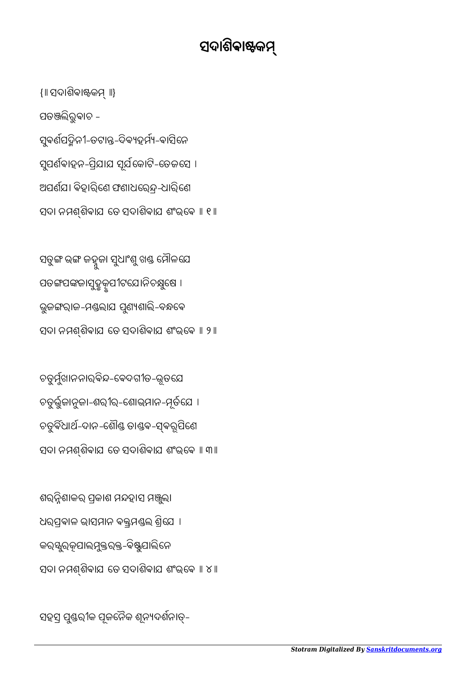ସହସ ପୁଣ୍ଡରୀକ ପୂଜନୈକ ଶୂନ୍ୟଦର୍ଶନାତ୍–

ଶରନ୍ନିଶାକର ପ୍ରକାଶ ମନ୍ଦହାସ ମଞ୍ଜୁଲା ଧରପ୍ରବାଳ ଭାସମାନ ବକ୍ତ୍ରମଣ୍ଡଲ ଶ୍ରିଯେ । କର୍ୟୁର୍କୂପାଲମୁକ୍ତର୍କ୍ତ-ବିଷ୍ଣୁପାଲିନେ ସଦା ନମଶ୍ଶିବାଯ ତେ ସଦାଶିବାଯ ଶଂଭ୍ବେ ॥ ୪ ॥

ଚତୁର୍ଯୁଖାନନାର୍ବିନ୍ଦ-ବେଦଗୀତ-ଭୂତଯେ ଚତୁଭୁଜାନୁଜା-ଶରୀର-େଶାଭମାନ-ମତୂେଯ । ଚତୁର୍ବିଧାର୍ଥ-ଦାନ-ଶୌଣ୍ଡ ତାଣ୍ଡବ-ସ୍ବରୂପିଣେ ସଦା ନମଶ୍ଶିବାଯ ତେ ସଦାଶିବାଯ ଶଂଭ୍ବେ ॥ ୩॥

ସତୁଙ୍ଗ ଭଙ୍ଗ ଜହ୍ନୁଜା ସୁଧାଂଶୁ ଖଣ୍ଡ ମୌଳଯେ ପତଙ୍ଗପଙ୍କଜାସୁହୃକୂପୀଟଯୋନିଚକ୍ଷୁଷେ । ଭୁଜଙ୍ଗରାଜ-ମଣ୍ଡଲାଯ ପୁଣ୍ୟଶାଲି-ବନ୍ଧବେ ସଦା ନମଶ୍ଶିବାଯ ତେ ସଦାଶିବାଯ ଶଂଭ୍ବେ ॥ ୨॥

{॥ ସଦାଶିବାଷ୍ଟକମ୍ ॥} ପତଲିରୁଵାଚ - ସୁବର୍ଣପଦ୍ମିନୀ-ତଟାନ୍ତ-ଦିବ୍ୟହର୍ମ୍ୟ-ବାସିନେ ସୁପର୍ଣବାହନ-ପ୍ରିଯାଯ ସୂର୍ଯକୋଟି-ତେଜସେ । ଅପର୍ଶଯ। ବିହାରିଣେ ଫଣାଧରେନ୍ଦ୍ର-ଧାରିଣେ ସଦା ନମଶ୍ଶିବାଯ ତେ ସଦାଶିବାଯ ଶଂଭ୍ରେ ॥ ୧ ॥

## ସଦାଶିଵାକ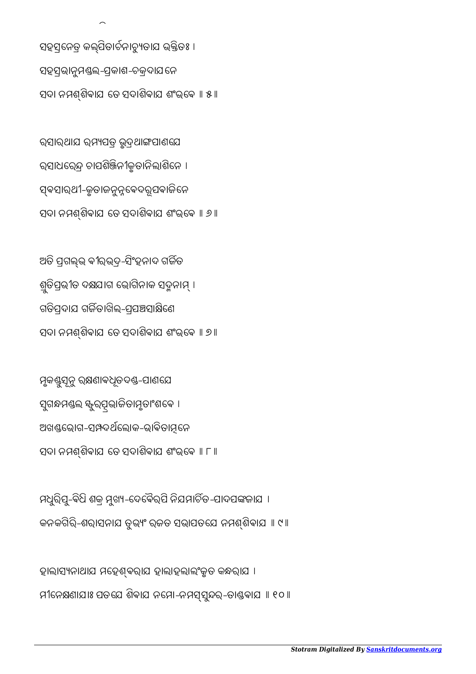ହାଲାସ୍ୟନାଥାଯ ମହେଶ୍ବରାଯ ହାଲାହଲାଲଂକୃତ କନ୍ଧରାଯ । ମୀନେକ୍ଷଣାଯାଃ ପତଯେ ଶିବାଯ ନମୋ-ନମସ୍ସୁନ୍ଦର-ତାଣ୍ଡବାଯା । ୧୦ ।

ମଧୁରିପୁ-ବିଧି ଶକ୍ର ମୁଖ୍ୟ-ଦେବୈର୍ପି ନିଯମାଚିତ-ପାଦପଙ୍କଜାଯ । କନକଗିରି-ଶରାସନାଯ ତୁଭଂ ରଜତ ସଭାପତେଯ ନମଶିଵାଯ ॥ ୯॥

ମୃକଣ୍ଟୁସୂନୁ ରକ୍ଷଣାବଧୂତଦଣ୍ଡ-ପାଣଯେ ସୁଗନ୍ଧମଣ୍ଡଲ କ୍ୟୁର୍ପ୍ସଭାଜିତାମୃତାଂଶବେ । ଅଖଣ୍ଡଭୋଗ-ସମ୍ପଦର୍ଥଲୋକ-ଭାବିତାମୂନେ ସଦା ନମଶ୍ଶିବାଯ ତେ ସଦାଶିବାଯ ଶଂଭ୍ବେ ॥ ୮ ॥

ଅତି ପ୍ରଗଲ୍ଭ ବୀରଭଦ୍ର-ସିଂହନାଦ ଗର୍ଜିତ ଶ୍ରତିପ୍ରଭୀତ ଦକ୍ଷଯାଗ ଭୋଗିନାକ ସଦ୍ମନାମ୍ । ଗତିପଦାଯ ଗର୍ଜିତାଖିଲ-ପ୍ରସଞ୍ଚସାକ୍ଷିଣେ ସଦା ନମଶ୍ଶିବାଯ ତେ ସଦାଶିବାଯ ଶଂଭ୍ବେ ॥ ୭ ॥

ରସାରଥାଯ ରମ୍ୟପତ୍ର ଭୁଦ୍ରଥାଙ୍ଗସାଣୟେ ରସାଧରେନ୍ଦ୍ର ଚାପଶିଞ୍ଜିନୀକୃତାନିଲାଶିନେ । ସ୍ଵସାରଥୀ-କୃତାଜନୁନ୍ନବେଦରୂପବାଜିନେ ସଦା ନମଶିଵାଯ େତ ସଦାଶିଵାଯ ଶଂଭେଵ ॥ ୬॥

ସହସ୍ରନେତ୍ର କଲ୍ପିତାର୍ଚନାଚ୍ୟୁତାଯ ଭ୍କ୍ତିତଃ । ସହସ୍ରଭାନୁମଣ୍ଡଲ-ପ୍ରକାଶ-ଚକ୍ରଦାଯନେ ସଦା ନମଶିଵାଯ େତ ସଦାଶିଵାଯ ଶଂଭେଵ ॥ ୫॥